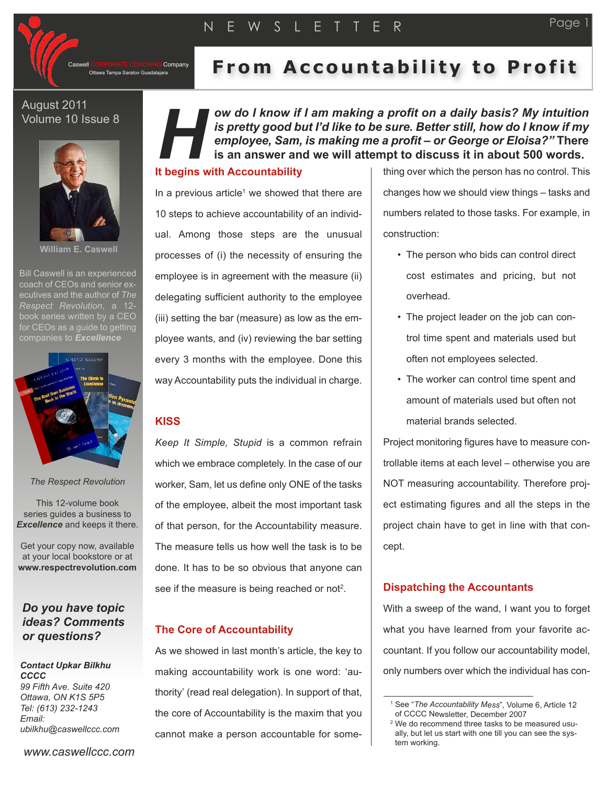

*H*

Company

# Ottawa Tampa Saratov Guadalajara **From Ac co u n tabili ty to P rof i t**

*ow do I know if I am making a profit on a daily basis? My intuition is pretty good but I'd like to be sure. Better still, how do I know if my employee, Sam, is making me a profit – or George or Eloisa?"* **There is an answer and we will attempt to discuss it in about 500 words.**

## August 2011 Volume 10 Issue 8



**William E. Caswell**

Bill Caswell is an experienced coach of CEOs and senior executives and the author of *The Respect Revolution*, a 12 book series written by a CEO for CEOs as a quide to getting companies to *Excellence*



*The Respect Revolution*

This 12-volume book series guides a business to *Excellence* and keeps it there.

Get your copy now, available at your local bookstore or at **www.respectrevolution.com**

## *Do you have topic ideas? Comments or questions?*

#### *Contact Upkar Bilkhu CCCC 99 Fifth Ave. Suite 420 Ottawa, ON K1S 5P5*

*Tel: (613) 232-1243 Email: ubilkhu@caswellccc.com*

*www.caswellccc.com*

In a previous article<sup>1</sup> we showed that there are 10 steps to achieve accountability of an individual. Among those steps are the unusual processes of (i) the necessity of ensuring the employee is in agreement with the measure (ii) delegating sufficient authority to the employee (iii) setting the bar (measure) as low as the employee wants, and (iv) reviewing the bar setting every 3 months with the employee. Done this way Accountability puts the individual in charge.

**I t begins with Accountability**

## **KISS**

*Keep It Simple, Stupid* is a common refrain which we embrace completely. In the case of our worker, Sam, let us define only ONE of the tasks of the employee, albeit the most important task of that person, for the Accountability measure. The measure tells us how well the task is to be done. It has to be so obvious that anyone can see if the measure is being reached or not<sup>2</sup>.

## **The Core of Accountability**

As we showed in last month's article, the key to making accountability work is one word: 'authority' (read real delegation). In support of that, the core of Accountability is the maxim that you cannot make a person accountable for some-

thing over which the person has no control. This changes how we should view things – tasks and numbers related to those tasks. For example, in construction:

- The person who bids can control direct cost estimates and pricing, but not overhead.
- The project leader on the job can control time spent and materials used but often not employees selected.
- The worker can control time spent and amount of materials used but often not material brands selected.

Project monitoring figures have to measure controllable items at each level – otherwise you are NOT measuring accountability. Therefore project estimating figures and all the steps in the project chain have to get in line with that concept.

## **Dispatching the Accountants**

With a sweep of the wand, I want you to forget what you have learned from your favorite accountant. If you follow our accountability model, only numbers over which the individual has con-

<sup>1</sup> See "*The Accountability Mess*", Volume 6, Article 12 of CCCC Newsletter, December 2007

<sup>2</sup> We do recommend three tasks to be measured usually, but let us start with one till you can see the system working.